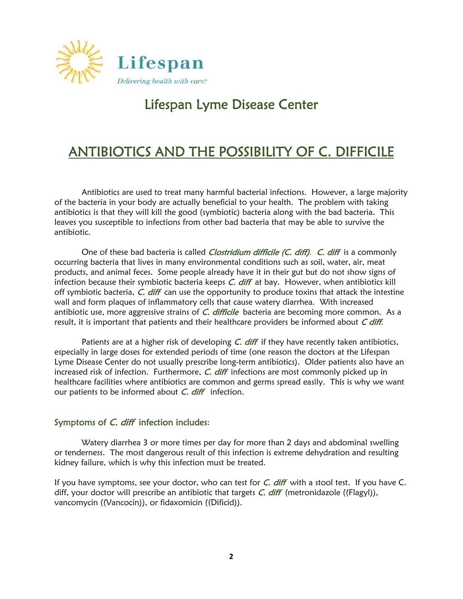

# Lifespan Lyme Disease Center

# ANTIBIOTICS AND THE POSSIBILITY OF C. DIFFICILE

Antibiotics are used to treat many harmful bacterial infections. However, a large majority of the bacteria in your body are actually beneficial to your health. The problem with taking antibiotics is that they will kill the good (symbiotic) bacteria along with the bad bacteria. This leaves you susceptible to infections from other bad bacteria that may be able to survive the antibiotic.

One of these bad bacteria is called *Clostridium difficile (C. diff). C. diff* is a commonly occurring bacteria that lives in many environmental conditions such as soil, water, air, meat products, and animal feces. Some people already have it in their gut but do not show signs of infection because their symbiotic bacteria keeps  $C$ . diff at bay. However, when antibiotics kill off symbiotic bacteria,  $C$ . *diff* can use the opportunity to produce toxins that attack the intestine wall and form plaques of inflammatory cells that cause watery diarrhea. With increased antibiotic use, more aggressive strains of  $C$ . difficile bacteria are becoming more common. As a result, it is important that patients and their healthcare providers be informed about  $C$  diff.

Patients are at a higher risk of developing  $C$ .  $diff$  if they have recently taken antibiotics, especially in large doses for extended periods of time (one reason the doctors at the Lifespan Lyme Disease Center do not usually prescribe long-term antibiotics). Older patients also have an increased risk of infection. Furthermore,  $C$ . diff infections are most commonly picked up in healthcare facilities where antibiotics are common and germs spread easily. This is why we want our patients to be informed about  $C$ . diff infection.

#### Symptoms of C. diff infection includes:

Watery diarrhea 3 or more times per day for more than 2 days and abdominal swelling or tenderness. The most dangerous result of this infection is extreme dehydration and resulting kidney failure, which is why this infection must be treated.

If you have symptoms, see your doctor, who can test for  $C$ . *diff* with a stool test. If you have  $C$ . diff, your doctor will prescribe an antibiotic that targets  $C$ . diff (metronidazole ((Flagyl)), vancomycin ((Vancocin)), or fidaxomicin ((Dificid)).